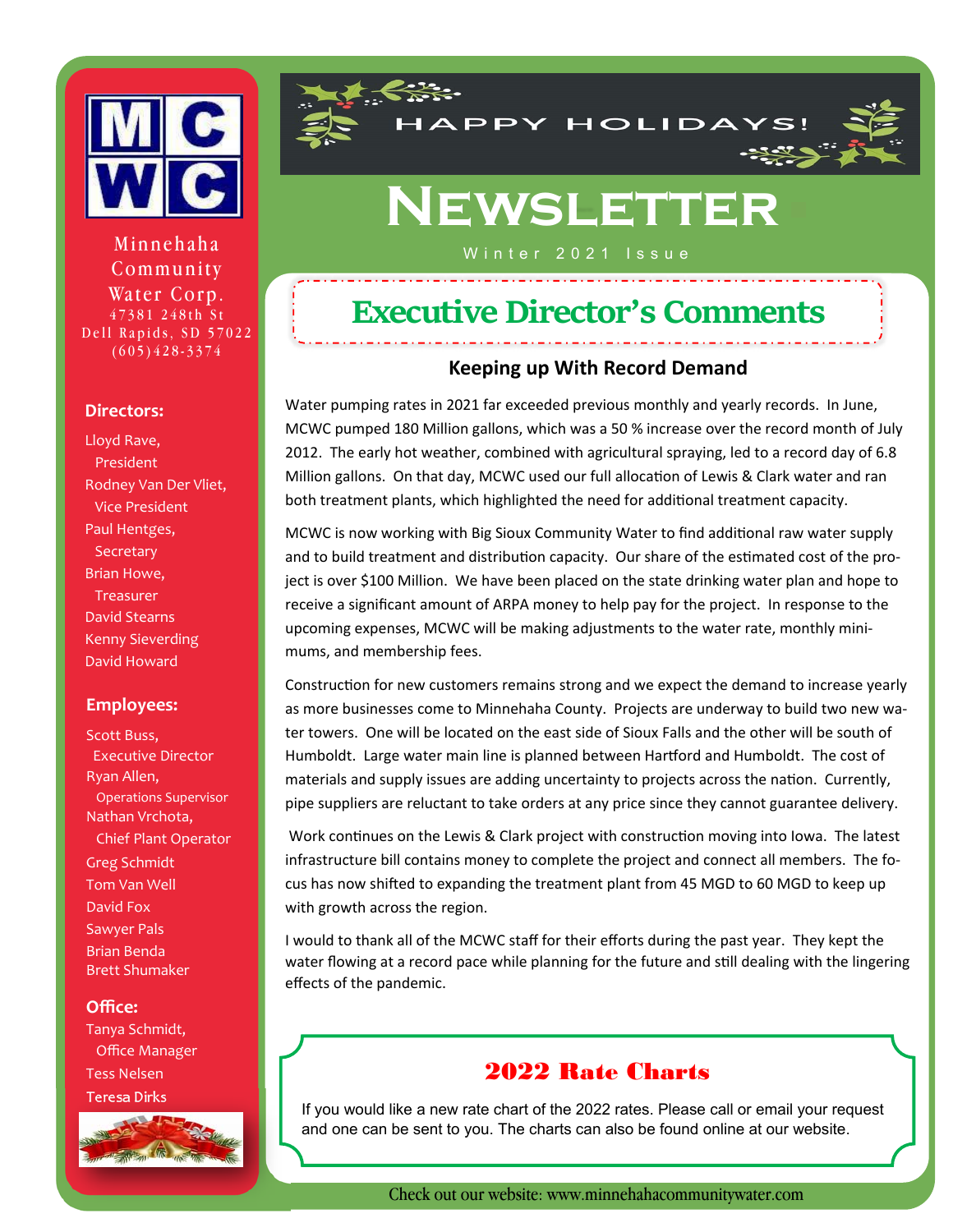

Winter 2021 Issue Minnehaha Community Water Corp. 47381 248th St Dell Rapids, SD 57022 (605)428-3374

#### **Directors:**

Lloyd Rave, President Rodney Van Der Vliet, Vice President Paul Hentges, **Secretary** Brian Howe, **Treasurer** David Stearns Kenny Sieverding David Howard

#### **Employees:**

Scott Buss, Executive Director Ryan Allen, Operations Supervisor Nathan Vrchota, Chief Plant Operator Greg Schmidt Tom Van Well David Fox Sawyer Pals Brian Benda Brett Shumaker

#### **Office:**

Tanya Schmidt, Office Manager Tess Nelsen Teresa Dirks





# **Newsletter**

## **Executive Director's Comments**

#### **Keeping up With Record Demand**

Water pumping rates in 2021 far exceeded previous monthly and yearly records. In June, MCWC pumped 180 Million gallons, which was a 50 % increase over the record month of July 2012. The early hot weather, combined with agricultural spraying, led to a record day of 6.8 Million gallons. On that day, MCWC used our full allocation of Lewis & Clark water and ran both treatment plants, which highlighted the need for additional treatment capacity.

MCWC is now working with Big Sioux Community Water to find additional raw water supply and to build treatment and distribution capacity. Our share of the estimated cost of the project is over \$100 Million. We have been placed on the state drinking water plan and hope to receive a significant amount of ARPA money to help pay for the project. In response to the upcoming expenses, MCWC will be making adjustments to the water rate, monthly minimums, and membership fees.

Construction for new customers remains strong and we expect the demand to increase yearly as more businesses come to Minnehaha County. Projects are underway to build two new water towers. One will be located on the east side of Sioux Falls and the other will be south of Humboldt. Large water main line is planned between Hartford and Humboldt. The cost of materials and supply issues are adding uncertainty to projects across the nation. Currently, pipe suppliers are reluctant to take orders at any price since they cannot guarantee delivery.

Work continues on the Lewis & Clark project with construction moving into Iowa. The latest infrastructure bill contains money to complete the project and connect all members. The focus has now shifted to expanding the treatment plant from 45 MGD to 60 MGD to keep up with growth across the region.

I would to thank all of the MCWC staff for their efforts during the past year. They kept the water flowing at a record pace while planning for the future and still dealing with the lingering effects of the pandemic.

#### 2022 Rate Charts

If you would like a new rate chart of the 2022 rates. Please call or email your request and one can be sent to you. The charts can also be found online at our website.